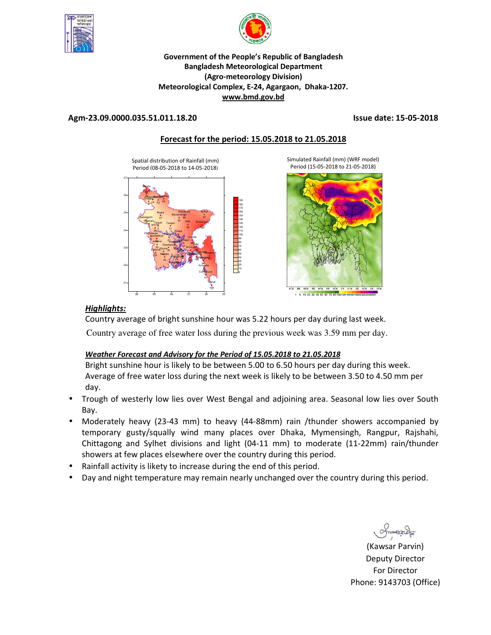



### **Government of the People's Republic of Bangladesh Bangladesh Meteorological Department (Agro-meteorology Division) Meteorological Complex, E-24, Agargaon, Dhaka-1207. www.bmd.gov.bd**

### **Agm-23.09.0000.035.51.011.18.20 Issue date: 15-05-2018**

## **Forecast for the period: 15.05.2018 to 21.05.2018**

Spatial distribution of Rainfall (mm) Period (08-05-2018 to 14-05-2018)





Simulated Rainfall (mm) (WRF model)

## *Highlights:*

Country average of bright sunshine hour was 5.22 hours per day during last week. Country average of free water loss during the previous week was 3.59 mm per day.

### *Weather Forecast and Advisory for the Period of 15.05.2018 to 21.05.2018*

Bright sunshine hour is likely to be between 5.00 to 6.50 hours per day during this week. Average of free water loss during the next week is likely to be between 3.50 to 4.50 mm per day.

- Trough of westerly low lies over West Bengal and adjoining area. Seasonal low lies over South Bay.
- Moderately heavy (23-43 mm) to heavy (44-88mm) rain /thunder showers accompanied by temporary gusty/squally wind many places over Dhaka, Mymensingh, Rangpur, Rajshahi, Chittagong and Sylhet divisions and light (04-11 mm) to moderate (11-22mm) rain/thunder showers at few places elsewhere over the country during this period.
- Rainfall activity is likety to increase during the end of this period.
- Day and night temperature may remain nearly unchanged over the country during this period.

Smanach

(Kawsar Parvin) Deputy Director For Director Phone: 9143703 (Office)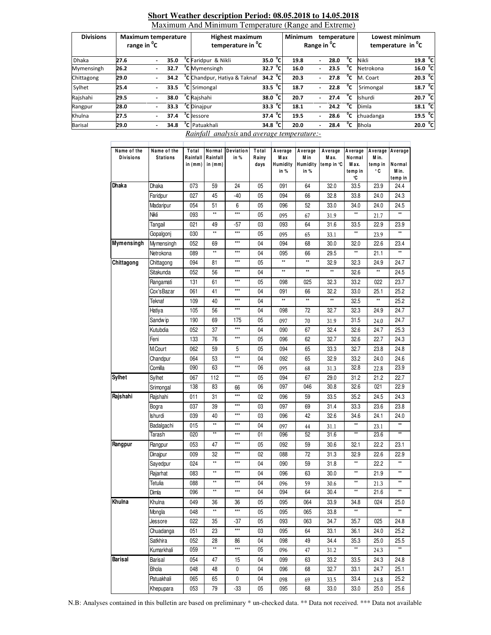| <b>Divisions</b> |      | <b>Maximum temperature</b><br>range in <sup>o</sup> C |      | <b>Highest maximum</b><br>temperature in <sup>o</sup> C | Minimum<br>Range in <sup>o</sup> C |              | temperature |                          | Lowest minimum<br>temperature in <sup>o</sup> C |                |              |                     |
|------------------|------|-------------------------------------------------------|------|---------------------------------------------------------|------------------------------------|--------------|-------------|--------------------------|-------------------------------------------------|----------------|--------------|---------------------|
| Dhaka            | 27.6 | $\overline{\phantom{0}}$                              | 35.0 | <sup>o</sup> C Faridpur & Nikli                         | $35.0^{\circ}$ C                   |              | 19.8        | $\overline{\phantom{0}}$ | 28.0                                            | °c             | Nikli        | 19.8 <sup>o</sup> C |
| Mymensingh       | 26.2 | $\overline{\phantom{0}}$                              | 32.7 | <sup>o</sup> C Mymensingh                               | 32.7 $^{\circ}$ C                  |              | 16.0        |                          | 23.5                                            | °c             | Netrokona    | 16.0 °C             |
| Chittagong       | 29.0 | $\overline{\phantom{0}}$                              | 34.2 | <sup>o</sup> C Chandpur, Hatiya & Taknaf                | $34.2 \text{ }^{\circ}C$           |              | 20.3        | $\overline{\phantom{a}}$ | 27.8                                            | $^{\circ}$ c   | M. Coart     | $20.3\degree$ C     |
| Sylhet           | 25.4 | $\overline{\phantom{a}}$                              | 33.5 | <sup>o</sup> C Srimongal                                | $\overline{33.5}$ <sup>o</sup> C   |              | 18.7        | $\overline{\phantom{0}}$ | 22.8                                            | °c             | Srimongal    | 18.7 <sup>o</sup> C |
| Rajshahi         | 29.5 | ٠                                                     | 38.0 | <sup>o</sup> C Rajshahi                                 | 38.0                               | $^{\circ}$ C | 20.7        |                          | 27.4                                            | °c             | Ishurdi      | 20.7 °C             |
| Rangpur          | 28.0 | $\blacksquare$                                        | 33.3 | <sup>o</sup> C Dinajpur                                 | $33.3 \text{ °C}$                  |              | 18.1        | ÷.                       | 24.2                                            | $\overline{c}$ | Dimla        | 18.1 <sup>o</sup> C |
| Khulna           | 27.5 |                                                       | 37.4 | <sup>o</sup> C Jessore                                  | $\overline{37.4}$ <sup>o</sup> C   |              | 19.5        | $\overline{a}$           | 28.6                                            | °c             | chuadanga    | 19.5 <sup>o</sup> C |
| <b>Barisal</b>   | 29.0 |                                                       | 34.8 | <sup>o</sup> C Patuakhali                               | 34.8 $^{\circ}$ C                  |              | 20.0        |                          | 28.4                                            | °c             | <b>Bhola</b> | 20.0 °C             |

#### **Short Weather description Period: 08.05.2018 to 14.05.2018**  Maximum And Minimum Temperature (Range and Extreme)

*Rainfall analysis* and *average temperature:-*

| Name of the<br><b>Divisions</b> | Name of the<br><b>Stations</b> | Total<br>Rainfall<br>in (mm) | Rainfall<br>in (mm) | Normal Deviation<br>in % | Total<br>Rainy<br>days | Average<br>M ax<br>Humidity | Average<br>M in<br>Humidity | Average<br>Max.<br>temp in °C | Average<br>Normal<br>Max. | M in.<br>temp in<br>۰c | Average Average<br>Normal<br>M in. |  |
|---------------------------------|--------------------------------|------------------------------|---------------------|--------------------------|------------------------|-----------------------------|-----------------------------|-------------------------------|---------------------------|------------------------|------------------------------------|--|
|                                 |                                |                              |                     |                          |                        | in %                        | in %                        |                               | temp in<br>°C             |                        | temp in                            |  |
| Dhaka                           | Dhaka                          | 073                          | 59                  | 24                       | 05                     | 091                         | 64                          | 32.0                          | 33.5                      | 23.9                   | 24.4                               |  |
|                                 | Faridpur                       | 027                          | 45                  | $-40$                    | 05                     | 094                         | 66                          | 32.8                          | 33.8                      | 24.0                   | 24.3                               |  |
|                                 | Madaripur                      | 054                          | 51                  | 6                        | 05                     | 096                         | 52                          | 33.0                          | 34.0                      | 24.0                   | 24.5                               |  |
|                                 | Nikli                          | 093                          | **                  | ***                      | 05                     | 095                         | 67                          | 31.9                          | **                        | 21.7                   | $\star\star$                       |  |
|                                 | Tangail                        | 021                          | 49                  | -57                      | 03                     | 093                         | 64                          | 31.6                          | 33.5                      | 22.9                   | 23.9                               |  |
|                                 | Gopalgonj                      | 030                          | **                  | $***$                    | 05                     | 095                         | 65                          | 33.1                          | **                        | 23.9                   | $\star\star$                       |  |
| Mymensingh                      | Mymensingh                     | 052                          | 69                  | $***$                    | 04                     | 094                         | 68                          | 30.0                          | 32.0                      | 22.6                   | 23.4                               |  |
|                                 | Netrokona                      | 089                          | **                  | $***$                    | 04                     | 095                         | 66                          | 29.5                          | **                        | 21.1                   | $^{\star\star}$                    |  |
| Chittagong                      | Chittagong                     | 094                          | 81                  | $***$                    | 05                     | $\star\star$                | **                          | 32.9                          | 32.3                      | 24.9                   | 24.7                               |  |
|                                 | Sitakunda                      | 052                          | 56                  | $***$                    | 04                     | $\star\star$                | **                          | $\star\star$                  | 32.6                      | $\star\star$           | 24.5                               |  |
|                                 | Rangamati                      | 131                          | 61                  | $***$                    | 05                     | 098                         | 025                         | 32.3                          | 33.2                      | 022                    | 23.7                               |  |
|                                 | Cox'sBazar                     | 061                          | 41                  | $***$                    | 04                     | 091                         | 66                          | 32.2                          | 33.0                      | 25.1                   | 25.2                               |  |
|                                 | Teknaf                         | 109                          | 40                  | $***$                    | 04                     | $\star\star$                | **                          | $^{\star\star}$               | 32.5                      | $\star\star$           | 25.2                               |  |
|                                 | Hatiya                         | 105                          | 56                  | ***                      | 04                     | 098                         | 72                          | 32.7                          | 32.3                      | 24.9                   | 24.7                               |  |
|                                 | Sandw ip                       | 190                          | 69                  | 175                      | 05                     | 097                         | 70                          | 31.9                          | 31.5                      | 24.0                   | 24.7                               |  |
|                                 | Kutubdia                       | 052                          | 37                  | $***$                    | 04                     | 090                         | 67                          | 32.4                          | 32.6                      | 24.7                   | 25.3                               |  |
|                                 | Feni                           | 133                          | 76                  | ***                      | 05                     | 096                         | 62                          | 32.7                          | 32.6                      | 22.7                   | 24.3                               |  |
|                                 | M.Court                        | 062                          | 59                  | 5                        | 05                     | 094                         | 65                          | 33.3                          | 32.7                      | 23.8                   | 24.8                               |  |
|                                 | Chandpur                       | 064                          | 53                  | ***                      | 04                     | 092                         | 65                          | 32.9                          | 33.2                      | 24.0                   | 24.6                               |  |
|                                 | Comilla                        | 090                          | 63                  | ***                      | 06                     | 095                         | 68                          | 31.3                          | 32.8                      | 22.8                   | 23.9                               |  |
| <b>Sylhet</b>                   | Sylhet                         | 067                          | 112                 | ***                      | 05                     | 094                         | 67                          | 29.0                          | 31.2                      | 21.2                   | 22.7                               |  |
|                                 | Srimongal                      | 138                          | 83                  | 66                       | 06                     | 097                         | 046                         | 30.8                          | 32.6                      | 021                    | 22.9                               |  |
| Rajshahi                        | Rajshahi                       | 011                          | 31                  | ***                      | 02                     | 096                         | 59                          | 33.5                          | 35.2                      | 24.5                   | 24.3                               |  |
|                                 | Bogra                          | 037                          | 39                  | ***                      | 03                     | 097                         | 69                          | 31.4                          | 33.3                      | 23.6                   | 23.8                               |  |
|                                 | lshurdi                        | 039                          | 40                  | ***                      | 03                     | 096                         | 42                          | 32.6                          | 34.6                      | 24.1                   | 24.0                               |  |
|                                 | Badalgachi                     | 015                          | **                  | ***                      | 04                     | 097                         | 44                          | 31.1                          | **                        | 23.1                   | **                                 |  |
|                                 | Tarash                         | 020                          | **                  | ***                      | 01                     | 096                         | 52                          | 31.6                          | **                        | 23.6                   |                                    |  |
| Rangpur                         | Rangpur                        | 053                          | 47                  | ***                      | 05                     | 092                         | 59                          | 30.6                          | 32.1                      | 22.2                   | 23.1                               |  |
|                                 | Dinajpur                       | 009                          | 32                  | ***                      | 02                     | 088                         | 72                          | 31.3                          | 32.9                      | 22.6                   | 22.9                               |  |
|                                 | Sayedpur                       | 024                          | **                  | ***                      | 04                     | 090                         | 59                          | 31.8                          | **                        | 22.2                   | **                                 |  |
|                                 | Rajarhat                       | 083                          | **                  | ***                      | 04                     | 096                         | 63                          | 30.0                          | **                        | 21.9                   | **                                 |  |
|                                 | Tetulia                        | 088                          | **<br>**            | $***$                    | 04                     | 096                         | 59                          | 30.6                          | **<br>**                  | 21.3                   | **<br>**                           |  |
|                                 | Dimla                          | 096                          |                     | ***                      | 04                     | 094                         | 64                          | 30.4                          |                           | 21.6                   |                                    |  |
| Khulna                          | Khulna                         | 049                          | 36                  | 36<br>$***$              | 05                     | 095                         | 064                         | 33.9                          | 34.8<br>**                | 024                    | 25.0<br>$\star\star$               |  |
|                                 | Mongla                         | 048                          | **                  |                          | 05                     | 095                         | 065                         | 33.8                          |                           |                        |                                    |  |
|                                 | Jessore                        | 022                          | 35                  | -37                      | 05                     | 093                         | 063                         | 34.7                          | 35.7                      | 025                    | 24.8                               |  |
|                                 | Chuadanga                      | 051                          | 23                  | $\star\star\star$        | 03                     | 095                         | 64                          | 33.1                          | 36.1                      | 24.0                   | 25.2                               |  |
|                                 | Satkhira                       | 052                          | 28<br>**            | 86                       | 04                     | 098                         | 49                          | 34.4                          | 35.3<br>**                | 25.0                   | 25.5<br>**                         |  |
|                                 | Kumarkhali                     | 059                          |                     | ***                      | 05                     | 096                         | 47                          | 31.2                          |                           | 24.3                   |                                    |  |
| Barisal                         | Barisal                        | 054                          | 47                  | 15                       | 04                     | 099                         | 63                          | 33.2                          | 33.5                      | 24.3                   | 24.8                               |  |
|                                 | Bhola                          | 048                          | 48                  | 0                        | 04                     | 096                         | 68                          | 32.7                          | 33.1                      | 24.7                   | 25.1                               |  |
|                                 | Patuakhali                     | 065                          | 65                  | 0                        | 04                     | 098                         | 69                          | 33.5                          | 33.4                      | 24.8                   | 25.2                               |  |
|                                 | Khepupara                      | 053                          | 79                  | $-33$                    | 05                     | 095                         | 68                          | 33.0                          | 33.0                      | 25.0                   | 25.6                               |  |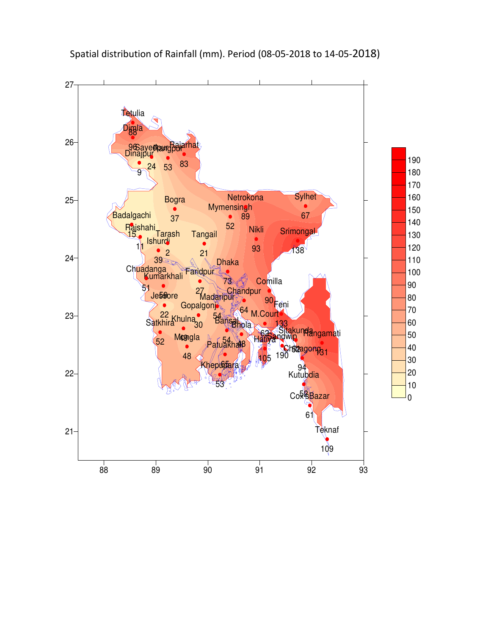

# Spatial distribution of Rainfall (mm). Period (08-05-2018 to 14-05-2018)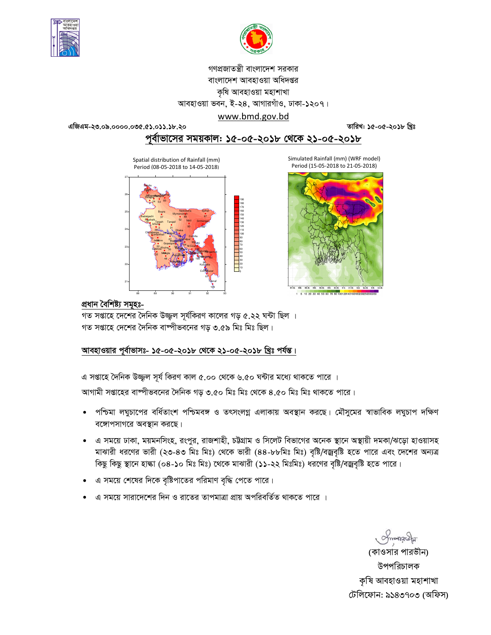



# গণপ্রজাতন্ত্রী বাংলাদেশ সরকার বাংলাদেশ আবহাওয়া অধিদপ্তর কৃষি আবহাওয়া মহাশাখা আবহাওয়া ভবন, ই-২৪, আগারগাঁও, ঢাকা-১২০৭। www.bmd.gov.bd

এজিএম-২৩.০৯.০০০০.০৩৫.৫১.০১১.১৮.২০

তারিখ: ১৫-০৫-২০১৮ খ্রিঃ

পূর্বাভাসের সময়কাল: ১৫-০৫-২০১৮ থেকে ২১-০৫-২০১৮

Spatial distribution of Rainfall (mm) Period (08-05-2018 to 14-05-2018)





#### প্ৰধান বৈশিষ্ট্য সমূহঃ-

গত সপ্তাহে দেশের দৈনিক উজ্জ্বল সূর্যকিরণ কালের গড় ৫.২২ ঘন্টা ছিল । গত সপ্তাহে দেশের দৈনিক বাষ্পীভবনের গড় ৩.৫৯ মিঃ মিঃ ছিল।

# আবহাওয়ার পূর্বাভাসঃ- ১৫-০৫-২০১৮ থেকে ২১-০৫-২০১৮ খ্রিঃ পর্যন্ত।

এ সপ্তাহে দৈনিক উজ্জ্বল সূর্য কিরণ কাল ৫.০০ থেকে ৬.৫০ ঘন্টার মধ্যে থাকতে পারে ।

আগামী সপ্তাহের বাষ্পীভবনের দৈনিক গড় ৩.৫০ মিঃ মিঃ থেকে ৪.৫০ মিঃ মিঃ থাকতে পারে।

- পশ্চিমা লঘুচাপের বর্ধিতাংশ পশ্চিমবঙ্গ ও তৎসংলগ্ন এলাকায় অবস্থান করছে। মৌসুমের স্বাভাবিক লঘুচাপ দক্ষিণ বঙ্গোপসাগরে অবস্থান করছে।
- এ সময়ে ঢাকা, ময়মনসিংহ, রংপুর, রাজশাহী, চউগ্রাম ও সিলেট বিভাগের অনেক স্থানে অস্থায়ী দমকা/ঝড়ো হাওয়াসহ  $\bullet$ মাঝারী ধরণের ভারী (২৩-৪৩ মিঃ মিঃ) থেকে ভারী (৪৪-৮৮মিঃ মিঃ) বৃষ্টি/বজ্রবৃষ্টি হতে পারে এবং দেশের অন্যত্র কিছু কিছু স্থানে হাল্কা (০৪-১০ মিঃ মিঃ) থেকে মাঝারী (১১-২২ মিঃমিঃ) ধরণের বৃষ্টি/বজ্রবৃষ্টি হতে পারে।
- এ সময়ে শেষের দিকে বৃষ্টিপাতের পরিমাণ বৃদ্ধি পেতে পারে।
- এ সময়ে সারাদেশের দিন ও রাতের তাপমাত্রা প্রায় অপরিবর্তিত থাকতে পারে ।

Impressed

(কাওসার পারভীন) উপপরিচালক কৃষি আবহাওয়া মহাশাখা টেলিফোন: ৯১৪৩৭০৩ (অফিস)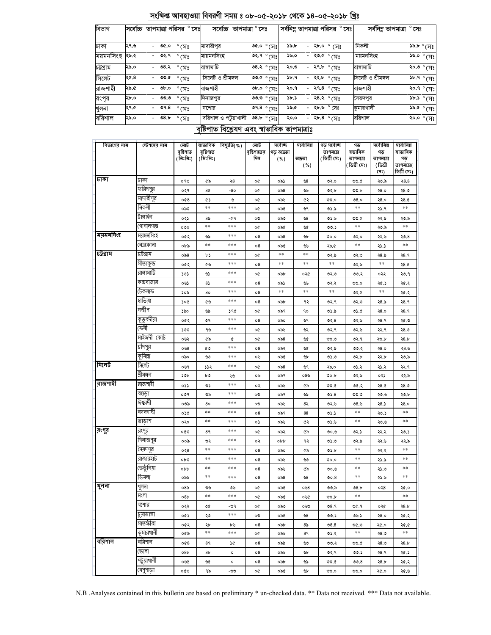|         | নেত্ৰকোনা          | ০৮৯             | $\ast\ast$     | ***     | 08          | ০৯৫   | ৬৬              | ২৯.৫ | $***$   | ২১.১       | $\ast\ast$  |
|---------|--------------------|-----------------|----------------|---------|-------------|-------|-----------------|------|---------|------------|-------------|
| ঢউগ্ৰাম | চট্টগ্রাম          | 0.86            | r,             | ***     | o¢          | $***$ | $**$            | ৩২.৯ | ৩২.৩    | 28.5       | २8.१        |
|         | সীতাকুন্ড          | ০৫২             | ৫৬             | ***     | $\circ$ 8   | $***$ | $**$            | **   | ৩২৬     | **         | 28.0        |
|         | রাঙ্গামাটি         | 505             | دی             | ***     | o¢          | ০৯৮   | ०२৫             | ৩২.৩ | 00.3    | ০২২        | ২৩.৭        |
|         | কক্সবাজার          | ০৬১             | $8\sqrt{ }$    | ***     | $^{\circ8}$ | ০৯১   | ৬৬              | ৩২.২ | 00.0    | ২৫.১       | ২৫.২        |
|         | টেকনাফ             | ১০৯             | 80             | ***     | 08          | $***$ | $**$            | **   | 02.6    | $\ast\ast$ | ২৫.২        |
|         | হাতিয়া            | 300             | ৫৬             | ***     | $^{\circ8}$ | ০৯৮   | ৭২              | ৩২.৭ | 02.0    | 28.5       | २8.१        |
|         | সন্দ্বীপ           | ১৯০             | ৬৯             | ১৭৫     | o¢          | ০৯৭   | 90              | ৩১.৯ | ৩১.৫    | 28.0       | २8.१        |
|         | <u>কৃতু</u> বদীয়া | ০৫২             | ৩৭             | ***     | 08          | ০৯০   | ৬৭              | 02.8 | ৩২.৬    | २8.१       | ২৫.৩        |
|         | কেনী               | ১৩৩             | ৭৬             | ***     | o¢          | ০৯৬   | ৬২              | ৩২.৭ | ৩২.৬    | ২২.৭       | ২8.৩        |
|         | মাইজদী কোর্ট       | ০৬২             | ৫৯             | ¢       | o¢          | ০৯৪   | ৬৫              | 0.0  | ৩২.৭    | ২৩.৮       | <b>28.b</b> |
|         | চাঁদপুর            | ০৬৪             | ৫৩             | ***     | 08          | ০৯২   | ৬৫              | ৩২.৯ | ৩৩.২    | २8.०       | ২8.৬        |
|         | কুমিল্লা           | ০৯০             | ৬৩             | ***     | ০৬          | ০৯৫   | ৬৮              | 0.50 | ৩২.৮    | ২২.৮       | ২৩.৯        |
| সিলেট   | সিলেট              | ০৬৭             | 332            | ***     | o¢          | 0.86  | ৬৭              | ২৯.০ | 05.2    | ২১.২       | ૨૨.૧        |
|         | শ্ৰীমঙ্গল          | 50 <sub>b</sub> | ৮৩             | لگانا   | ০৬          | ০৯৭   | ০8৬             | 00.b | ৩২.৬    | ০২১        | ২২.৯        |
| বাজশাহী | রাজশাহী            | ०১১             | ৩১             | ***     | ०२          | ০৯৬   | ৫৯              | 00.6 | 00.5    | 28.0       | ২৪.৩        |
|         | বগুড়া             | ०७१             | ৩৯             | ***     | ೲ           | ০৯৭   | ৬৯              | 05.8 | 00.0    | ২৩.৬       | ২৩.৮        |
|         | ঈশ্বরদী            | ০৩৯             | 80             | ***     | ೲ           | ০৯৬   | 82              | ৩২.৬ | ৩ $8.5$ | ২8.১       | २8.०        |
|         | বদলগাঘী            | ०১৫             | **             | ***     | 08          | ০৯৭   | 88              | 05.5 | **      | ২৩.১       | $**$        |
|         | তাডাশ              | ०२०             | **             | ***     | ०১          | ০৯৬   | ৫২              | 0.60 | **      | ২৩.৬       | $***$       |
| রংপুব   | রংপুর              | ০৫৩             | 89             | ***     | o¢          | ০৯২   | ৫৯              | 0.00 | 02.5    | ২২.২       | ২৩.১        |
|         | দিনাজপুর           | ००৯             | ৩২             | ***     | ०२          | obb   | ৭২              | 0.50 | ৩২.৯    | ২২.৬       | ২২.৯        |
|         | সৈয়দপুর           | 0.38            | **             | ***     | $\circ$ 8   | ০৯০   | ৫৯              | ৩১.৮ | **      | २२.२       | $**$        |
|         | রাজারহাট           | ০৮৩             | **             | ***     | 08          | ০৯৬   | ৬৩              | ৩০.০ | **      | ২১.৯       | **          |
|         | ভেতুঁলিয়া         | obb             | $\ast\ast$     | ***     | 08          | ০৯৬   | ৫৯              | ৩০.৬ | **      | ২১.৩       | $**$        |
|         | ডিমলা              | ০৯৬             | **             | ***     | 08          | ০৯৪   | ৬৪              | 00.8 | **      | ২১.৬       | **          |
| থুলনা   | খুলনা              | 08 <sub>b</sub> | ৩৬             | ৩৬      | o¢          | ০৯৫   | 048             | ৩৩.৯ | 08.5    | ०२8        | ২৫.০        |
|         | মংলা               | 08 <sub>b</sub> | **             | ***     | o¢          | ০৯৫   | ০৬৫             | ৩৩.৮ | $***$   |            | $\ast\ast$  |
|         | যশোর               | ০২২             | ৩৫             | $-09$   | o¢          | ০৯৩   | ০৬৩             | 08.9 | 00.9    | ০২৫        | 28.5        |
|         | চুয়াডাঙ্গা        | ০৫১             | ২৩             | ***     | ೲ           | ০৯৫   | $\mathcal{B}^2$ | 00.5 | ৩৬.১    | २8.०       | ২৫.২        |
|         | সাতক্ষীরা          | ০৫২             | ২৮             | ৮৬      | 08          | ০৯৮   | 85              | 08.8 | 0.90    | ২৫.০       | ২৫.৫        |
|         | কুমারখালী          | ০৫৯             | $***$          | ***     | o¢          | ০৯৬   | 89              | ৩১.২ | $***$   | ২8.৩       | $**$        |
| ববিশাল  | বরিশাল             | 008             | 89             | 2G      | 08          | ০৯৯   | وال             | 00.2 | 00.6    | ২8.৩       | <b>28.b</b> |
|         | ভোলা               | 08b             | 8 <sub>b</sub> | $\circ$ | $\circ$ 8   | ০৯৬   | ৬৮              | ৩২.৭ | 00.5    | २8.१       | ২৫.১        |
|         | পটুয়াথালী         | ০৬৫             | ৬৫             | $\circ$ | 08          | ০৯৮   | ৬৯              | 0.00 | 00.8    | 28.5       | ২৫.২        |
|         | থেপুপাড়া          | ০৫৩             | ৭৯             | -৩৩     | o¢          | ০৯৫   | ৬৮              | 00.0 | 00.0    | ২৫.০       | ২৫.৬        |

#### <u> বৃষ্টিপাত বিশ্লেষণ এবং স্বাভাবিক তাপমাত্ৰাঃ</u>

**ব()"( %)**  বৃষ্টি**শাতে**র **\***

ফারদপুর

বিভাগের নাম

ঢাকা

*<u>ময়মনসিংহ</u>* 

**-** 

<u>মোট</u> বৃষ্টি**শা**ত **( % %)**

ৰাভাবিক বৃষ্টি**শাত ( % %)**

মাদারাপুর

ময়মনসিংহ

| বিভাগ     | সবোচ্চ |                          | তাপমাত্রা পরিসর |                        | $^{\circ}$ সেঃ | সবোচ্চ              | তাপমাত্রা ° সেঃ                                                                  | সর্বনিম্ন তাপমাত্রা পরিসর |        |                       | $^{\circ}$ সেঃ। | সৰ্বনিম্ন তাপমাত্ৰা | $^{\circ}$ সেঃ |                                                           |
|-----------|--------|--------------------------|-----------------|------------------------|----------------|---------------------|----------------------------------------------------------------------------------|---------------------------|--------|-----------------------|-----------------|---------------------|----------------|-----------------------------------------------------------|
|           |        |                          |                 |                        |                |                     |                                                                                  |                           |        |                       |                 |                     |                |                                                           |
| ঢাকা      | ২৭.৬   | $\overline{\phantom{a}}$ | ৩৫.০            | $^{\circ}$ (সঃ         |                | মাদারীপুর           | ৩৫.০ $^{\circ}$ (সঃ                                                              | ১৯.৮                      | $\sim$ | ২৮.০ ° সেঃ            |                 | নিকলী               |                | $\mathcal{S}^{\mathbf{a},\mathbf{b}}$ of $\mathcal{S}$    |
| ময়মনসিংহ | ২৬.২   | $\overline{\phantom{0}}$ | ৩২.৭            | $\degree$ (সঃ          |                | মায়মনসিংহ          | ৩২.৭ ° সেঃ।                                                                      | ১৬.০                      | $\sim$ | ংশ <sup>°</sup> ১.৩২  |                 | ময়মনসিংহ           |                | ১৬.০ ° সেঃ                                                |
| চট্টগ্ৰাম | ২৯.০   | $\overline{\phantom{0}}$ | ৩৪.২            | $^{\circ}$ (সঃ         |                | রাসামাটি            | ত $8.8^\circ$ সেঃ।                                                               | ২০.৩                      |        | - ২৭.৮ ৽ সেঃ          |                 | রাসামাটি            |                | ২০.৩ ° সেঃ                                                |
| সিলেট     | ২৫.৪   | $\overline{\phantom{0}}$ | ৩৩.৫            | $\degree$ (সঃ          |                | সিলেট ও শ্ৰীমঙ্গল   | তত.৫ $^{\circ}$ সেঃ।                                                             | 3b.9                      |        | - २२.৮ $^{\circ}$ पाः |                 | সিলেট ও শ্ৰীমঙ্গল   |                | ১৮.৭ $^{\circ}$ (সঃ                                       |
| রাজশাহী   | ২৯.৫   |                          | ৩৮,০            | $^{\circ}$ (সঃ         |                | রাজশাহী             | $\overline{\phantom{a}}$ or $\overline{\phantom{a}}$ or $\overline{\phantom{a}}$ | ২০.৭                      |        | - ২৭.৪ °মেঃ           |                 | রাজশাহী             |                | ২০.৭ ° সেঃ                                                |
| রংপর      | ২৮.০   |                          | ৩৩.৩            | $^{\circ}$ (সঃ         |                | দিনাজপুর            | •ు.ల ∘ (সঃ।                                                                      | ১৮.১                      | $\sim$ | ২৪.২ ° সেঃ            |                 | সেয়দপুর            |                | ১৮.১ $^{\circ}$ (সেঃ                                      |
| খুলনা     | ২৭.৫   | $\overline{\phantom{0}}$ | ৩৭.৪            | $^{\circ}$ (সঃ         |                | যশোর                | ి9.8 $^{\circ}$ (সঃ $^{\prime}$                                                  | ১৯.৫                      | $\sim$ | ২৮.৬ ° সেঃ            |                 | কুমারখালী           |                | $\mathcal{S}_{\mathcal{G}}$ , $\mathcal{S}_{\mathcal{G}}$ |
| বরিশাল    | ২৯.০   |                          | 08.5            | $\degree$ CA $\degree$ |                | বরিশাল ও পটুয়াখালী | ৩৪.৮ ° সেঃ।                                                                      | ২০.০                      | $\sim$ | <sup>২৮.৪</sup> ° সেঃ |                 | বরিশাল              |                | ংশ ° <b>ংশ</b>                                            |

তাকা | ০৭৩ | ৫৯ | ২৪ | ০৫ | ০৯১ | ৬৪ | ৩২.০ | ৩৩.৫ | ২৩.৯ | ২৪.৪

0.84 | 627 | 628 | 639 | 640 | 640 | 640 | 641 | 642 | 653.

<u>সৰ্বোচ্</u>চ াড় <mark>আদ্ৰ</mark>তা **( %)**

সৰ্বোনিম্ন **।**<br>অসম  **( %)**

**ব** ষাভাবিক **!**  আপমাত্রা(  $\overline{\mathsf{b}}$ গ্রী সেঃ)

সৰ্বোনিম্ন **!**  <u>তাপমাত্রা</u> **( \$ %)**

**!** ষভাবিক তাপমাত্ৰা **( \$ %)**

গড় সৰ্বো<del>জ্</del> <u>তাপমাত্রা</u> **( \$ %)**

 054 51 6 05 096 52 33.0 34.0 24.0 24.5 শিকলা | ০৯০ | \*\* | \*\*\* | ০৫ | ০৯৫ | ৬৭ | ৩১.৯ | \*\* | ২১.৭ | \*\* 0791২ল | ০২১ | ৪৯ | -৫৭ | ০৩ | ০৯৩ | ৬৪ | ৩১.৬ | ৩৩.৫ | ২২.৯ | ২৩.৯ 0319119303 | ০৩০ | \*\*\* | ০৫ | ০৯৫ | ৬৫ | ৩৩.১ | \*\* | ২৩.৯ | \*\*

<sup>য়ুত</sup> | ০৫২ | ৬৯ | \*\*\* | ০৪ | ০৯৪ | ৬৮ | ৩০.০ | ৩২.০ | ২২.৬ | ২৩.৪

N.B .Analyses contained in this bulletin are based on preliminary \* un-checked data. \*\* Data not received. \*\*\* Data not available.

## সংক্ষিপ্ত আবহাওয়া বিবরণী সময় ঃ ০৮-০৫-২০১৮ থেকে ১৪-০৫-২০১৮ খ্রিঃ